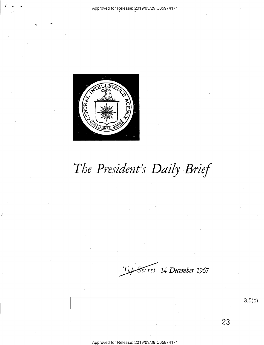

# *The President's Daily Brief*

~ *14 December 1967* 

3.5(c)

23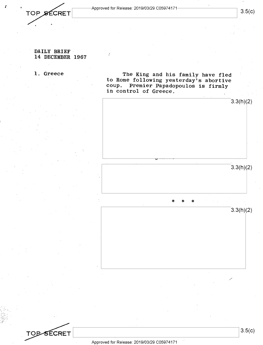*i*-Approved for Release: 2019/03/29 C05974171 3.5(c)<br> *i*-3.5(c)

### **DAILY BRIEF 14 DECEMBER 1967**

**TOPSECRET** 

**1. Greece The King and his family have fled to Rome following yesterday's abortive coup. Premier Papadopoulos is firmly in control of Greece.** 



3.5(c)

/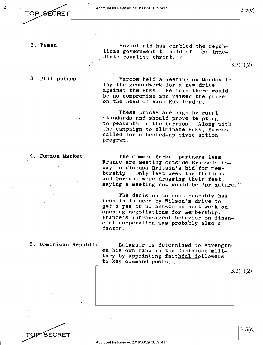3.5(c)

#### 2. Yemen

3. Philippines

Soviet aid has enabled the republican government to hold off the immediate royalist threat.

 $3.3(h)(2)$ 

Marcos held a meeting op Monday to lay the groundwork for a new drive against the Huks. He said there would be no compromise and raised the price on the head of each Huk leader.

These prices are high by rural standards and should prove tempting to peasants in the barrios. Along with the campaign to eliminate Huks, Marcos called for a beefed-up civic action program.

4. Common Market

The Common Market partners less France are meeting outside Brussels today to discuss Britain's bid for mem-<br>bership. Only last week the Italians Only last week the Italians and Germans were dragging their feet, saying a meeting now would be "premature."

The decision to meet probably has been influenced by Wilson's drive to get <sup>a</sup>yes or no answer by next week on opening negotiations for membership. France's .intransigent behavior on financial cooperation was probably also <sup>a</sup> factor.

5. Dominican Republic Balaguer is determined to strengthen his own hand in the Dominican military by appointing faithful followers to key command posts.

SECRET

3.5(c)

3.3(h)(2)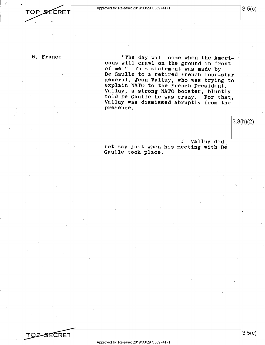6. France "The day will come when the Americans will crawl on the ground in front of me!" This statement was made by De Gaulle to a retired French four-star general, Jean Valluy, who was trying to explain NATO to the French President. Valluy, a strong NATO booster, bluntly told De Gaulle he was crazy. For that, Valluy was dismissed abruptly from the presence.

Valluy did **L\_ \_\_\_\_\_\_\_\_\_\_\_\_** /. Valluy did not say just when his meeting with De Gaulle took place .  $3.3(h)(2)$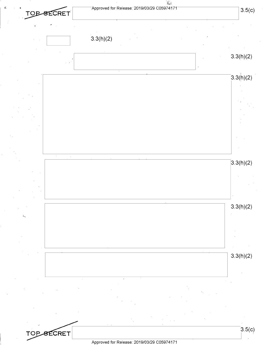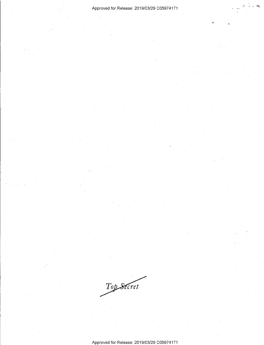#### Approved for Release: 2019/03/29 C0597 4171 *<sup>j</sup>*,/. -~

,-

Top Secret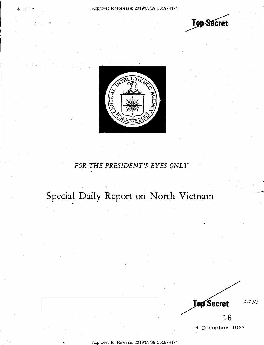#### Approved for Release: 2019/03/29 C05974171



**Top-Secret** 

3.5(c)

14 December 1967

16

**Lep Secret** 

### FOR THE PRESIDENT'S EYES ONLY

## Special Daily Report on North Vietnam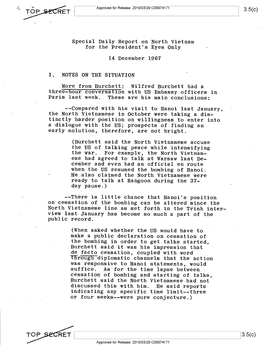Special Daily Report on North Vietnam for the President's Eyes Only

14 December 1967

#### I. NOTES ON THE SITUATION

More from. Burchett: Wilfred Burchett had <sup>a</sup> three-hour conversation with US Embassy officers in Paris last week. These are his main conclusions:

--Compared with his visit to Hanoi last January, the North Vietnamese in October were taking a distinctly harder position on willingness to enter into <sup>a</sup>dialogue with the US; prospects of finding an early solution, therefore, are not bright.

> (Burchett said the North Vietnamese accuse the US of talking peace while intensifying the war. For example, the North Vietnamese had agreed to talk at Warsaw last December and even had an official en route wheh the US resumed the bombing of Hanoi. He also claimed the North Vietnamese were ready to talk at Rangoon during the 37 day pause.)

--There is little chance that Hanoi's position on cessation of the bombing can be altered since the North Vietnamese line as set forth in the Trinh interview last January has become so much a part of the public record.

> (When asked whether the US would have to make a public declaration on cessation of the bombing in order to get talks started, Burchett said it was his impression that de facto cessation, coupled with word through diplomatic channels that the action was responsive to Hanoi statements, would suffice. As for the time lapse between cessation of bombing and starting of talks, Burchett said the North Vietnamese had not discussed this with him. He said reports indicating any specific time limit--three or four weeks--were pure conjecture.)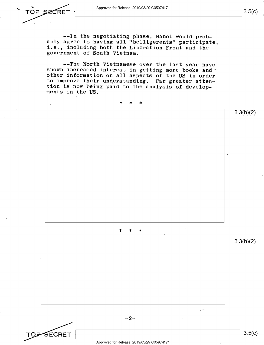·- Approved for Release: 2019/03/29 C05974171------------------,I 3.5(c) L\_\_ \_\_\_\_\_\_\_\_\_\_\_\_\_\_\_\_\_\_\_\_\_\_\_\_\_\_ <sup>~</sup>

--In the negotiating phase, Hanoi would probably agree to having all "belligerents" participate, i.e., including both the Liberation Front and the government of South Vietnam.

--The North Vietnamese over the last year have shown increased interest in getting more books and other information on all aspects of the US in order to improve their understanding. Far greater attention is now being paid to the analysis of developments in the US.

### \* \* \*

\* \* \*

 $-2-$ 

3.3(h)(2)

3.3(h)(2)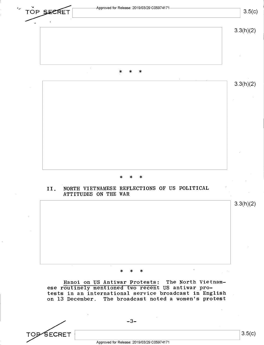

SECRET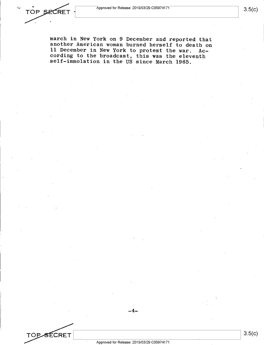TOP SECRET

**TOP SECRET** 

march in New York on 9 December and reported that another American woman burned herself to death on 11 December in New York to protest the war. According to the broadcast, this was the eleventh self-immolation in the US since March 1965.

3.5(c)